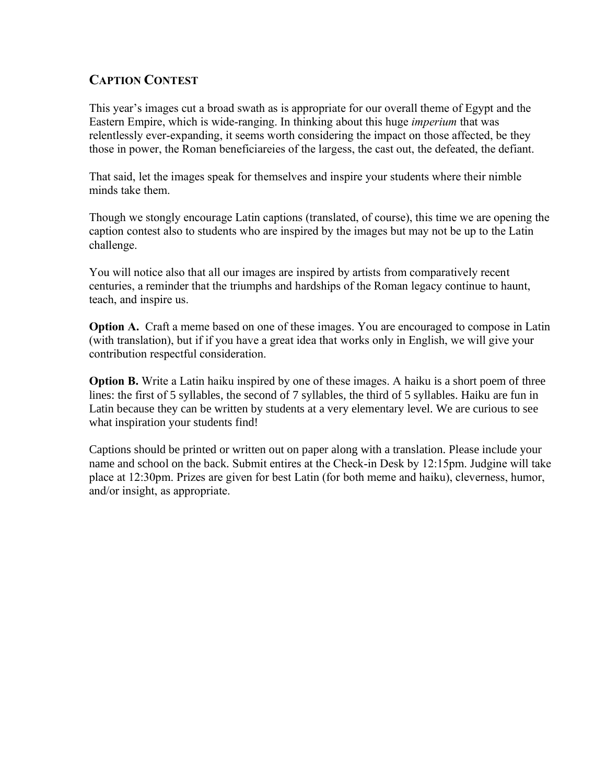## **CAPTION CONTEST**

This year's images cut a broad swath as is appropriate for our overall theme of Egypt and the Eastern Empire, which is wide-ranging. In thinking about this huge *imperium* that was relentlessly ever-expanding, it seems worth considering the impact on those affected, be they those in power, the Roman beneficiareies of the largess, the cast out, the defeated, the defiant.

That said, let the images speak for themselves and inspire your students where their nimble minds take them.

Though we stongly encourage Latin captions (translated, of course), this time we are opening the caption contest also to students who are inspired by the images but may not be up to the Latin challenge.

You will notice also that all our images are inspired by artists from comparatively recent centuries, a reminder that the triumphs and hardships of the Roman legacy continue to haunt, teach, and inspire us.

**Option A.** Craft a meme based on one of these images. You are encouraged to compose in Latin (with translation), but if if you have a great idea that works only in English, we will give your contribution respectful consideration.

**Option B.** Write a Latin haiku inspired by one of these images. A haiku is a short poem of three lines: the first of 5 syllables, the second of 7 syllables, the third of 5 syllables. Haiku are fun in Latin because they can be written by students at a very elementary level. We are curious to see what inspiration your students find!

Captions should be printed or written out on paper along with a translation. Please include your name and school on the back. Submit entires at the Check-in Desk by 12:15pm. Judgine will take place at 12:30pm. Prizes are given for best Latin (for both meme and haiku), cleverness, humor, and/or insight, as appropriate.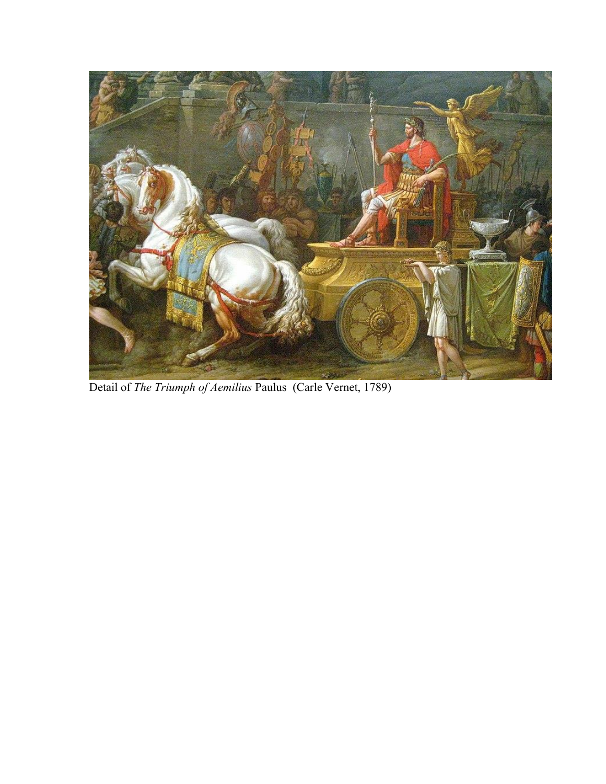

Detail of *The Triumph of Aemilius* Paulus (Carle Vernet, 1789)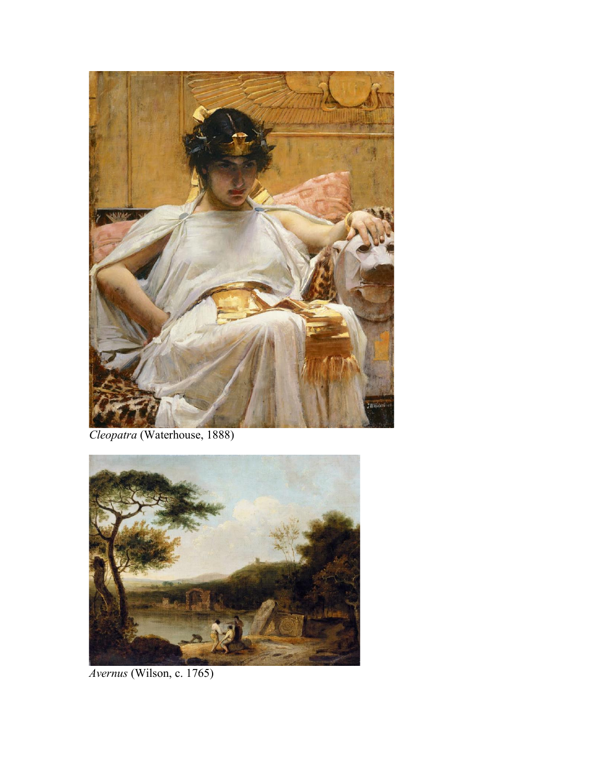

*Cleopatra* (Waterhouse, 1888)



*Avernus* (Wilson, c. 1765)